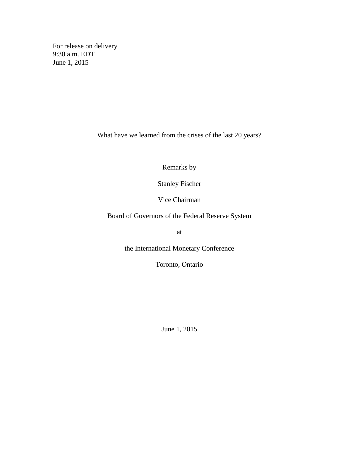For release on delivery 9:30 a.m. EDT June 1, 2015

What have we learned from the crises of the last 20 years?

Remarks by

Stanley Fischer

Vice Chairman

Board of Governors of the Federal Reserve System

at

the International Monetary Conference

Toronto, Ontario

June 1, 2015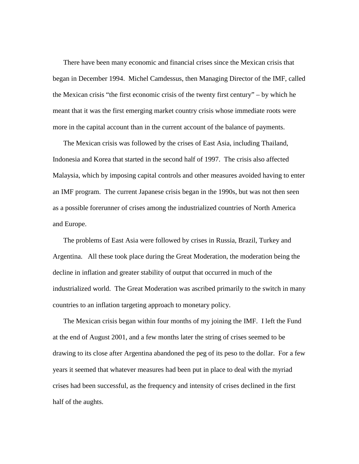There have been many economic and financial crises since the Mexican crisis that began in December 1994. Michel Camdessus, then Managing Director of the IMF, called the Mexican crisis "the first economic crisis of the twenty first century" – by which he meant that it was the first emerging market country crisis whose immediate roots were more in the capital account than in the current account of the balance of payments.

The Mexican crisis was followed by the crises of East Asia, including Thailand, Indonesia and Korea that started in the second half of 1997. The crisis also affected Malaysia, which by imposing capital controls and other measures avoided having to enter an IMF program. The current Japanese crisis began in the 1990s, but was not then seen as a possible forerunner of crises among the industrialized countries of North America and Europe.

The problems of East Asia were followed by crises in Russia, Brazil, Turkey and Argentina. All these took place during the Great Moderation, the moderation being the decline in inflation and greater stability of output that occurred in much of the industrialized world. The Great Moderation was ascribed primarily to the switch in many countries to an inflation targeting approach to monetary policy.

The Mexican crisis began within four months of my joining the IMF. I left the Fund at the end of August 2001, and a few months later the string of crises seemed to be drawing to its close after Argentina abandoned the peg of its peso to the dollar. For a few years it seemed that whatever measures had been put in place to deal with the myriad crises had been successful, as the frequency and intensity of crises declined in the first half of the aughts.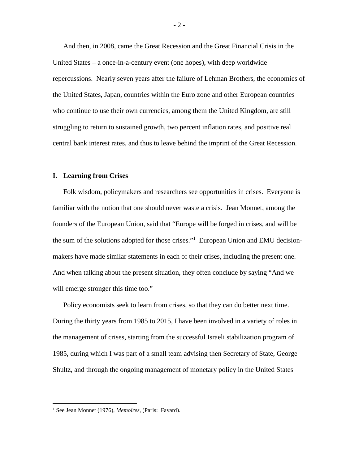And then, in 2008, came the Great Recession and the Great Financial Crisis in the United States – a once-in-a-century event (one hopes), with deep worldwide repercussions. Nearly seven years after the failure of Lehman Brothers, the economies of the United States, Japan, countries within the Euro zone and other European countries who continue to use their own currencies, among them the United Kingdom, are still struggling to return to sustained growth, two percent inflation rates, and positive real central bank interest rates, and thus to leave behind the imprint of the Great Recession.

### **I. Learning from Crises**

Folk wisdom, policymakers and researchers see opportunities in crises. Everyone is familiar with the notion that one should never waste a crisis. Jean Monnet, among the founders of the European Union, said that "Europe will be forged in crises, and will be the sum of the solutions adopted for those crises."<sup>1</sup> European Union and EMU decisionmakers have made similar statements in each of their crises, including the present one. And when talking about the present situation, they often conclude by saying "And we will emerge stronger this time too."

Policy economists seek to learn from crises, so that they can do better next time. During the thirty years from 1985 to 2015, I have been involved in a variety of roles in the management of crises, starting from the successful Israeli stabilization program of 1985, during which I was part of a small team advising then Secretary of State, George Shultz, and through the ongoing management of monetary policy in the United States

 $-2-$ 

 <sup>1</sup> See Jean Monnet (1976), *Memoires,* (Paris: Fayard).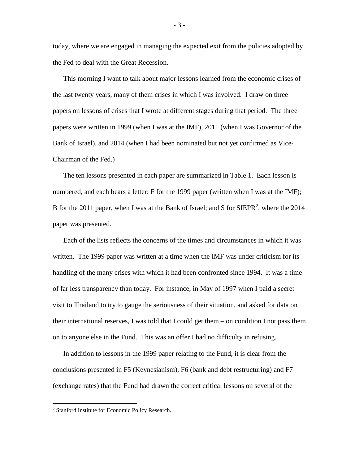today, where we are engaged in managing the expected exit from the policies adopted by the Fed to deal with the Great Recession.

This morning I want to talk about major lessons learned from the economic crises of the last twenty years, many of them crises in which I was involved. I draw on three papers on lessons of crises that I wrote at different stages during that period. The three papers were written in 1999 (when I was at the IMF), 2011 (when I was Governor of the Bank of Israel), and 2014 (when I had been nominated but not yet confirmed as Vice-Chairman of the Fed.)

The ten lessons presented in each paper are summarized in Table 1. Each lesson is numbered, and each bears a letter: F for the 1999 paper (written when I was at the IMF); B for the 2011 paper, when I was at the Bank of Israel; and S for SIEPR<sup>2</sup>, where the 2014 paper was presented.

Each of the lists reflects the concerns of the times and circumstances in which it was written. The 1999 paper was written at a time when the IMF was under criticism for its handling of the many crises with which it had been confronted since 1994. It was a time of far less transparency than today. For instance, in May of 1997 when I paid a secret visit to Thailand to try to gauge the seriousness of their situation, and asked for data on their international reserves, I was told that I could get them – on condition I not pass them on to anyone else in the Fund. This was an offer I had no difficulty in refusing.

In addition to lessons in the 1999 paper relating to the Fund, it is clear from the conclusions presented in F5 (Keynesianism), F6 (bank and debt restructuring) and F7 (exchange rates) that the Fund had drawn the correct critical lessons on several of the

- 3 -

 <sup>2</sup> Stanford Institute for Economic Policy Research.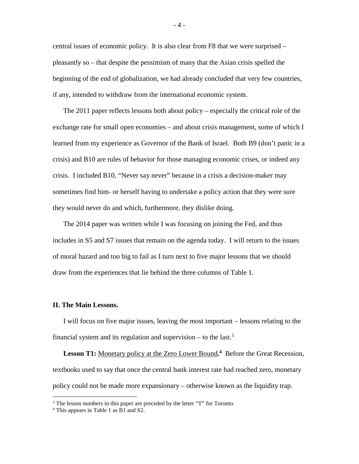central issues of economic policy. It is also clear from F8 that we were surprised – pleasantly so – that despite the pessimism of many that the Asian crisis spelled the beginning of the end of globalization, we had already concluded that very few countries, if any, intended to withdraw from the international economic system.

The 2011 paper reflects lessons both about policy – especially the critical role of the exchange rate for small open economies – and about crisis management, some of which I learned from my experience as Governor of the Bank of Israel. Both B9 (don't panic in a crisis) and B10 are rules of behavior for those managing economic crises, or indeed any crisis. I included B10, "Never say never" because in a crisis a decision-maker may sometimes find him- or herself having to undertake a policy action that they were sure they would never do and which, furthermore, they dislike doing.

The 2014 paper was written while I was focusing on joining the Fed, and thus includes in S5 and S7 issues that remain on the agenda today. I will return to the issues of moral hazard and too big to fail as I turn next to five major lessons that we should draw from the experiences that lie behind the three columns of Table 1.

#### **II. The Main Lessons.**

I will focus on five major issues, leaving the most important – lessons relating to the financial system and its regulation and supervision – to the last.<sup>3</sup>

Lesson T1: Monetary policy at the Zero Lower Bound.<sup>4</sup> Before the Great Recession, textbooks used to say that once the central bank interest rate had reached zero, monetary policy could not be made more expansionary – otherwise known as the liquidity trap.

 $3$  The lesson numbers in this paper are preceded by the letter "T" for Toronto.

<sup>4</sup> This appears in Table 1 as B1 and S2.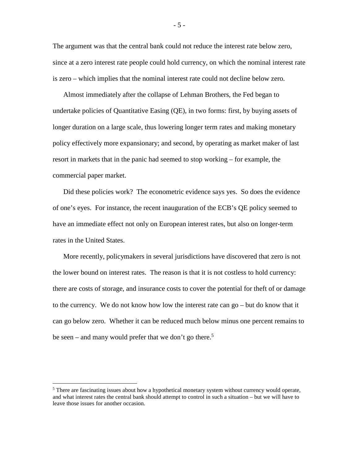The argument was that the central bank could not reduce the interest rate below zero, since at a zero interest rate people could hold currency, on which the nominal interest rate is zero – which implies that the nominal interest rate could not decline below zero.

Almost immediately after the collapse of Lehman Brothers, the Fed began to undertake policies of Quantitative Easing (QE), in two forms: first, by buying assets of longer duration on a large scale, thus lowering longer term rates and making monetary policy effectively more expansionary; and second, by operating as market maker of last resort in markets that in the panic had seemed to stop working – for example, the commercial paper market.

Did these policies work? The econometric evidence says yes. So does the evidence of one's eyes. For instance, the recent inauguration of the ECB's QE policy seemed to have an immediate effect not only on European interest rates, but also on longer-term rates in the United States.

More recently, policymakers in several jurisdictions have discovered that zero is not the lower bound on interest rates. The reason is that it is not costless to hold currency: there are costs of storage, and insurance costs to cover the potential for theft of or damage to the currency. We do not know how low the interest rate can go – but do know that it can go below zero. Whether it can be reduced much below minus one percent remains to be seen – and many would prefer that we don't go there.<sup>5</sup>

- 5 -

 $<sup>5</sup>$  There are fascinating issues about how a hypothetical monetary system without currency would operate,</sup> and what interest rates the central bank should attempt to control in such a situation – but we will have to leave those issues for another occasion.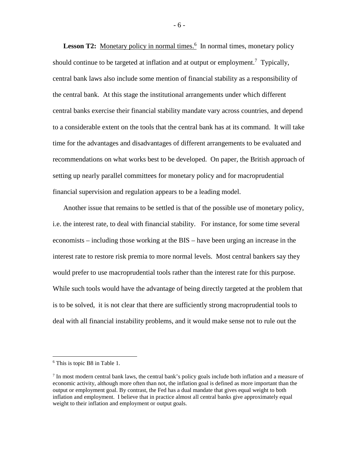Lesson T2: Monetary policy in normal times.<sup>6</sup> In normal times, monetary policy should continue to be targeted at inflation and at output or employment.<sup>7</sup> Typically, central bank laws also include some mention of financial stability as a responsibility of the central bank. At this stage the institutional arrangements under which different central banks exercise their financial stability mandate vary across countries, and depend to a considerable extent on the tools that the central bank has at its command. It will take time for the advantages and disadvantages of different arrangements to be evaluated and recommendations on what works best to be developed. On paper, the British approach of setting up nearly parallel committees for monetary policy and for macroprudential financial supervision and regulation appears to be a leading model.

Another issue that remains to be settled is that of the possible use of monetary policy, i.e. the interest rate, to deal with financial stability. For instance, for some time several economists – including those working at the BIS – have been urging an increase in the interest rate to restore risk premia to more normal levels. Most central bankers say they would prefer to use macroprudential tools rather than the interest rate for this purpose. While such tools would have the advantage of being directly targeted at the problem that is to be solved, it is not clear that there are sufficiently strong macroprudential tools to deal with all financial instability problems, and it would make sense not to rule out the

 <sup>6</sup> This is topic B8 in Table 1.

<sup>&</sup>lt;sup>7</sup> In most modern central bank laws, the central bank's policy goals include both inflation and a measure of economic activity, although more often than not, the inflation goal is defined as more important than the output or employment goal. By contrast, the Fed has a dual mandate that gives equal weight to both inflation and employment. I believe that in practice almost all central banks give approximately equal weight to their inflation and employment or output goals.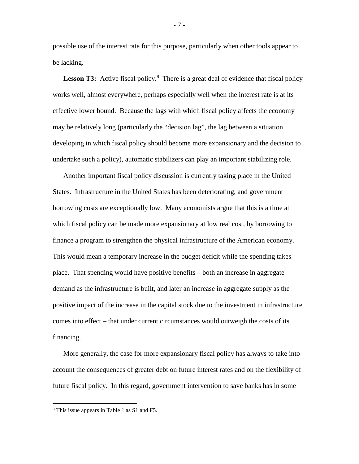possible use of the interest rate for this purpose, particularly when other tools appear to be lacking.

Lesson T3: **Active fiscal policy.**<sup>8</sup> There is a great deal of evidence that fiscal policy works well, almost everywhere, perhaps especially well when the interest rate is at its effective lower bound. Because the lags with which fiscal policy affects the economy may be relatively long (particularly the "decision lag", the lag between a situation developing in which fiscal policy should become more expansionary and the decision to undertake such a policy), automatic stabilizers can play an important stabilizing role.

Another important fiscal policy discussion is currently taking place in the United States. Infrastructure in the United States has been deteriorating, and government borrowing costs are exceptionally low. Many economists argue that this is a time at which fiscal policy can be made more expansionary at low real cost, by borrowing to finance a program to strengthen the physical infrastructure of the American economy. This would mean a temporary increase in the budget deficit while the spending takes place. That spending would have positive benefits – both an increase in aggregate demand as the infrastructure is built, and later an increase in aggregate supply as the positive impact of the increase in the capital stock due to the investment in infrastructure comes into effect – that under current circumstances would outweigh the costs of its financing.

More generally, the case for more expansionary fiscal policy has always to take into account the consequences of greater debt on future interest rates and on the flexibility of future fiscal policy. In this regard, government intervention to save banks has in some

- 7 -

 <sup>8</sup> This issue appears in Table 1 as S1 and F5.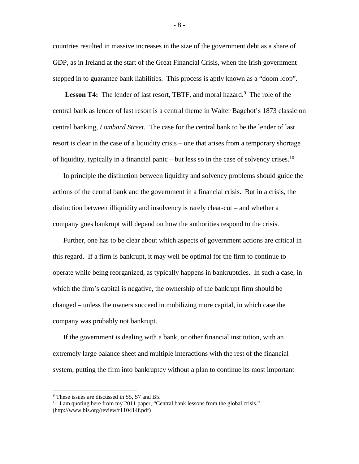countries resulted in massive increases in the size of the government debt as a share of GDP, as in Ireland at the start of the Great Financial Crisis, when the Irish government stepped in to guarantee bank liabilities. This process is aptly known as a "doom loop".

Lesson T4: The lender of last resort, TBTF, and moral hazard.<sup>9</sup> The role of the central bank as lender of last resort is a central theme in Walter Bagehot's 1873 classic on central banking, *Lombard Street*. The case for the central bank to be the lender of last resort is clear in the case of a liquidity crisis – one that arises from a temporary shortage of liquidity, typically in a financial panic – but less so in the case of solvency crises.<sup>10</sup>

In principle the distinction between liquidity and solvency problems should guide the actions of the central bank and the government in a financial crisis. But in a crisis, the distinction between illiquidity and insolvency is rarely clear-cut – and whether a company goes bankrupt will depend on how the authorities respond to the crisis.

Further, one has to be clear about which aspects of government actions are critical in this regard. If a firm is bankrupt, it may well be optimal for the firm to continue to operate while being reorganized, as typically happens in bankruptcies. In such a case, in which the firm's capital is negative, the ownership of the bankrupt firm should be changed – unless the owners succeed in mobilizing more capital, in which case the company was probably not bankrupt.

If the government is dealing with a bank, or other financial institution, with an extremely large balance sheet and multiple interactions with the rest of the financial system, putting the firm into bankruptcy without a plan to continue its most important

 <sup>9</sup> These issues are discussed in S5, S7 and B5.

<sup>&</sup>lt;sup>10</sup> I am quoting here from my 2011 paper, "Central bank lessons from the global crisis." (http://www.bis.org/review/r110414f.pdf)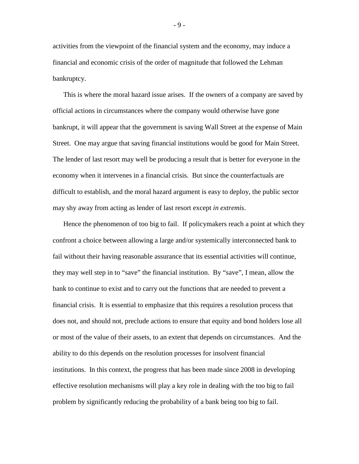activities from the viewpoint of the financial system and the economy, may induce a financial and economic crisis of the order of magnitude that followed the Lehman bankruptcy.

This is where the moral hazard issue arises. If the owners of a company are saved by official actions in circumstances where the company would otherwise have gone bankrupt, it will appear that the government is saving Wall Street at the expense of Main Street. One may argue that saving financial institutions would be good for Main Street. The lender of last resort may well be producing a result that is better for everyone in the economy when it intervenes in a financial crisis. But since the counterfactuals are difficult to establish, and the moral hazard argument is easy to deploy, the public sector may shy away from acting as lender of last resort except *in extremis*.

Hence the phenomenon of too big to fail. If policymakers reach a point at which they confront a choice between allowing a large and/or systemically interconnected bank to fail without their having reasonable assurance that its essential activities will continue, they may well step in to "save" the financial institution. By "save", I mean, allow the bank to continue to exist and to carry out the functions that are needed to prevent a financial crisis. It is essential to emphasize that this requires a resolution process that does not, and should not, preclude actions to ensure that equity and bond holders lose all or most of the value of their assets, to an extent that depends on circumstances. And the ability to do this depends on the resolution processes for insolvent financial institutions. In this context, the progress that has been made since 2008 in developing effective resolution mechanisms will play a key role in dealing with the too big to fail problem by significantly reducing the probability of a bank being too big to fail.

- 9 -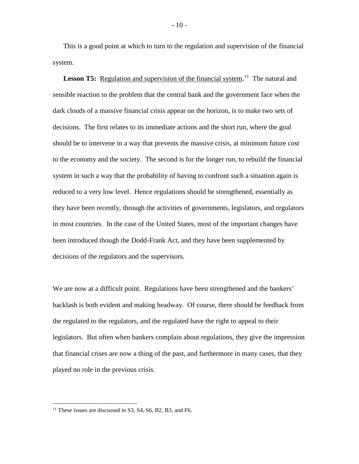This is a good point at which to turn to the regulation and supervision of the financial system.

Lesson T5: Regulation and supervision of the financial system.<sup>11</sup> The natural and sensible reaction to the problem that the central bank and the government face when the dark clouds of a massive financial crisis appear on the horizon, is to make two sets of decisions. The first relates to its immediate actions and the short run, where the goal should be to intervene in a way that prevents the massive crisis, at minimum future cost to the economy and the society. The second is for the longer run, to rebuild the financial system in such a way that the probability of having to confront such a situation again is reduced to a very low level. Hence regulations should be strengthened, essentially as they have been recently, through the activities of governments, legislators, and regulators in most countries. In the case of the United States, most of the important changes have been introduced though the Dodd-Frank Act, and they have been supplemented by decisions of the regulators and the supervisors.

We are now at a difficult point. Regulations have been strengthened and the bankers' backlash is both evident and making headway. Of course, there should be feedback from the regulated to the regulators, and the regulated have the right to appeal to their legislators. But often when bankers complain about regulations, they give the impression that financial crises are now a thing of the past, and furthermore in many cases, that they played no role in the previous crisis.

<sup>&</sup>lt;sup>11</sup> These issues are discussed in S3, S4, S6, B2, B3, and F6.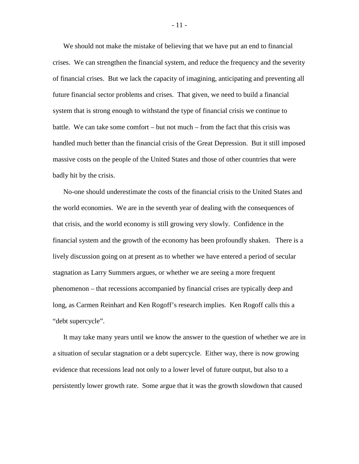We should not make the mistake of believing that we have put an end to financial crises. We can strengthen the financial system, and reduce the frequency and the severity of financial crises. But we lack the capacity of imagining, anticipating and preventing all future financial sector problems and crises. That given, we need to build a financial system that is strong enough to withstand the type of financial crisis we continue to battle. We can take some comfort – but not much – from the fact that this crisis was handled much better than the financial crisis of the Great Depression. But it still imposed massive costs on the people of the United States and those of other countries that were badly hit by the crisis.

No-one should underestimate the costs of the financial crisis to the United States and the world economies. We are in the seventh year of dealing with the consequences of that crisis, and the world economy is still growing very slowly. Confidence in the financial system and the growth of the economy has been profoundly shaken. There is a lively discussion going on at present as to whether we have entered a period of secular stagnation as Larry Summers argues, or whether we are seeing a more frequent phenomenon – that recessions accompanied by financial crises are typically deep and long, as Carmen Reinhart and Ken Rogoff's research implies. Ken Rogoff calls this a "debt supercycle".

It may take many years until we know the answer to the question of whether we are in a situation of secular stagnation or a debt supercycle. Either way, there is now growing evidence that recessions lead not only to a lower level of future output, but also to a persistently lower growth rate. Some argue that it was the growth slowdown that caused

- 11 -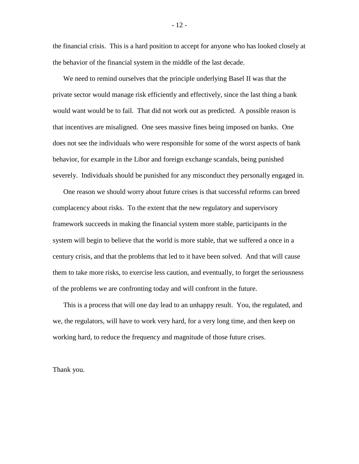the financial crisis. This is a hard position to accept for anyone who has looked closely at the behavior of the financial system in the middle of the last decade.

We need to remind ourselves that the principle underlying Basel II was that the private sector would manage risk efficiently and effectively, since the last thing a bank would want would be to fail. That did not work out as predicted. A possible reason is that incentives are misaligned. One sees massive fines being imposed on banks. One does not see the individuals who were responsible for some of the worst aspects of bank behavior, for example in the Libor and foreign exchange scandals, being punished severely. Individuals should be punished for any misconduct they personally engaged in.

One reason we should worry about future crises is that successful reforms can breed complacency about risks. To the extent that the new regulatory and supervisory framework succeeds in making the financial system more stable, participants in the system will begin to believe that the world is more stable, that we suffered a once in a century crisis, and that the problems that led to it have been solved. And that will cause them to take more risks, to exercise less caution, and eventually, to forget the seriousness of the problems we are confronting today and will confront in the future.

This is a process that will one day lead to an unhappy result. You, the regulated, and we, the regulators, will have to work very hard, for a very long time, and then keep on working hard, to reduce the frequency and magnitude of those future crises.

Thank you.